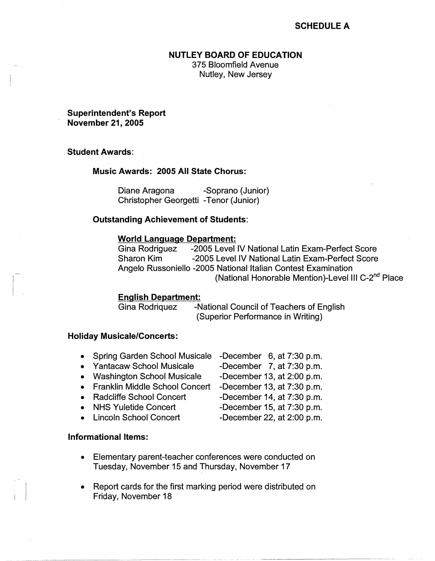# **SCHEDULE A**

### **NUTLEY BOARD OF EDUCATION**

375 Bloomfield Avenue Nutley, New Jersey

## **Superintendent's Report November 21, 2005**

### **Student Awards:**

#### **Music Awards: 2005 All State Chorus:**

Diane Aragona -Soprano (Junior) Christopher Georgetti -Tenor (Junior)

#### **Outstanding Achievement of Students:**

#### **World Language Department:**

Gina Rodriguez -2005 Level IV National Latin Exam-Perfect Score Sharon Kim -2005 Level IV National Latin Exam-Perfect Score Angelo Russoniello -2005 National Italian Contest Examination (National Honorable Mention)-Level III C-2<sup>nd</sup> Place

#### **English Department:**

Gina Rodriquez -National Council of Teachers of English (Superior Performance in Writing)

## **Holiday Musicale/Concerts:**

- Spring Garden School Musicale -December 6, at 7:30 p.m. • Yantacaw School Musicale -December 7, at 7:30 p.m. • Washington School Musicale -December 13, at 2:00 p.m. • Franklin Middle School Concert -December 13, at 7:30 p.m. • Radcliffe School Concert -December 14, at 7:30 p.m.
- NHS Yuletide Concert -December 15, at 7:30 p.m.
- Lincoln School Concert -December 22, at 2:00 p.m.
- 
- 

- **Informational Items:** 
	- Elementary parent-teacher conferences were conducted on Tuesday, November 15 and Thursday, November 17
	- Report cards for the first marking period were distributed on Friday, November 18